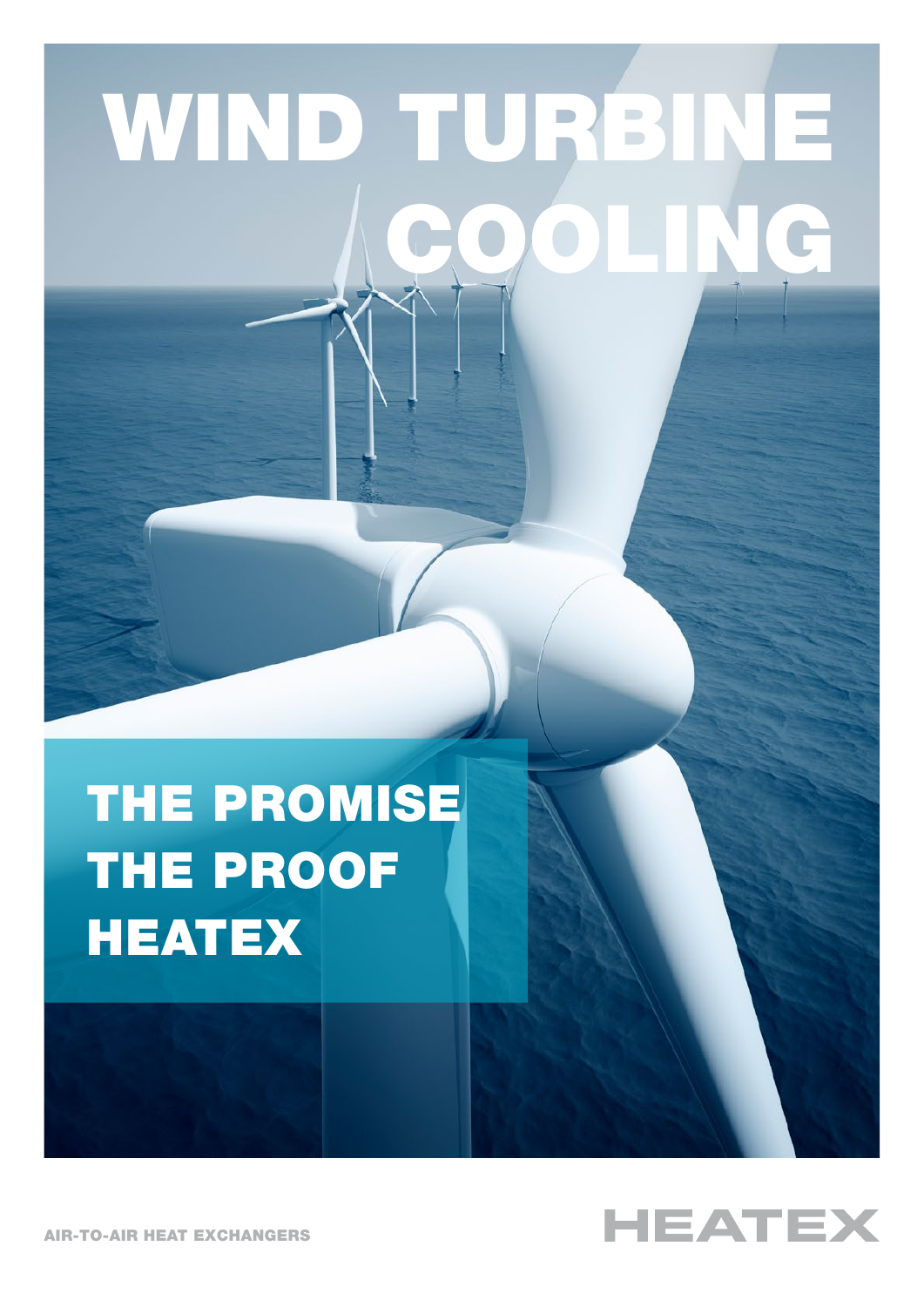# WIND TURBINE COOLING

# THE PROMISE THE PROOF **HEATEX**



AIR-TO-AIR HEAT EXCHANGERS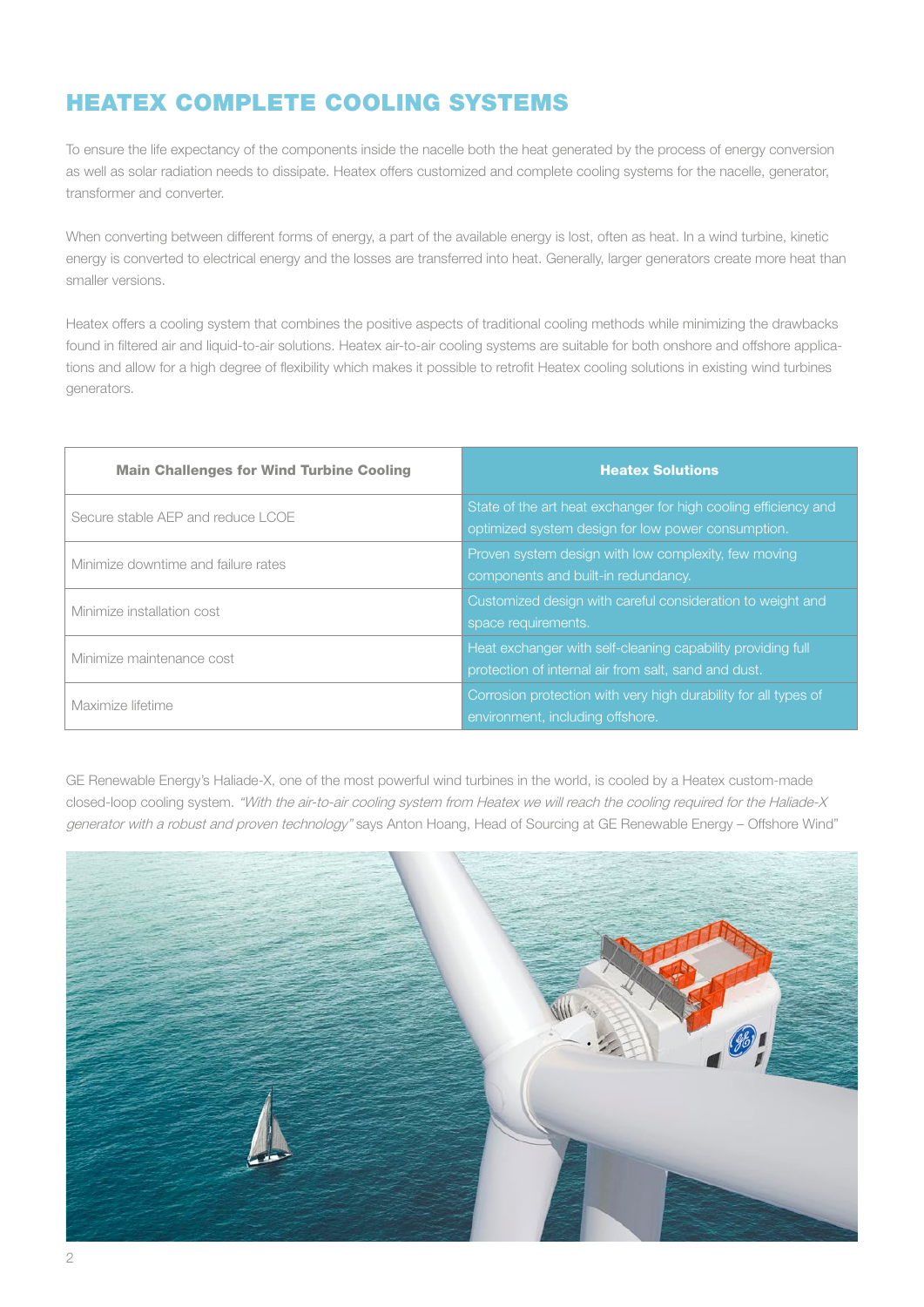# HEATEX COMPLETE COOLING SYSTEMS

To ensure the life expectancy of the components inside the nacelle both the heat generated by the process of energy conversion as well as solar radiation needs to dissipate. Heatex offers customized and complete cooling systems for the nacelle, generator, transformer and converter.

When converting between different forms of energy, a part of the available energy is lost, often as heat. In a wind turbine, kinetic energy is converted to electrical energy and the losses are transferred into heat. Generally, larger generators create more heat than smaller versions.

Heatex offers a cooling system that combines the positive aspects of traditional cooling methods while minimizing the drawbacks found in filtered air and liquid-to-air solutions. Heatex air-to-air cooling systems are suitable for both onshore and offshore applications and allow for a high degree of flexibility which makes it possible to retrofit Heatex cooling solutions in existing wind turbines generators.

| <b>Main Challenges for Wind Turbine Cooling</b> | <b>Heatex Solutions</b>                                                                                               |
|-------------------------------------------------|-----------------------------------------------------------------------------------------------------------------------|
| Secure stable AEP and reduce LCOE               | State of the art heat exchanger for high cooling efficiency and<br>optimized system design for low power consumption. |
| Minimize downtime and failure rates             | Proven system design with low complexity, few moving<br>components and built-in redundancy.                           |
| Minimize installation cost                      | Customized design with careful consideration to weight and<br>space requirements.                                     |
| Minimize maintenance cost                       | Heat exchanger with self-cleaning capability providing full<br>protection of internal air from salt, sand and dust.   |
| Maximize lifetime                               | Corrosion protection with very high durability for all types of<br>environment, including offshore.                   |

GE Renewable Energy's Haliade-X, one of the most powerful wind turbines in the world, is cooled by a Heatex custom-made closed-loop cooling system. "With the air-to-air cooling system from Heatex we will reach the cooling required for the Haliade-X generator with a robust and proven technology" says Anton Hoang, Head of Sourcing at GE Renewable Energy - Offshore Wind"

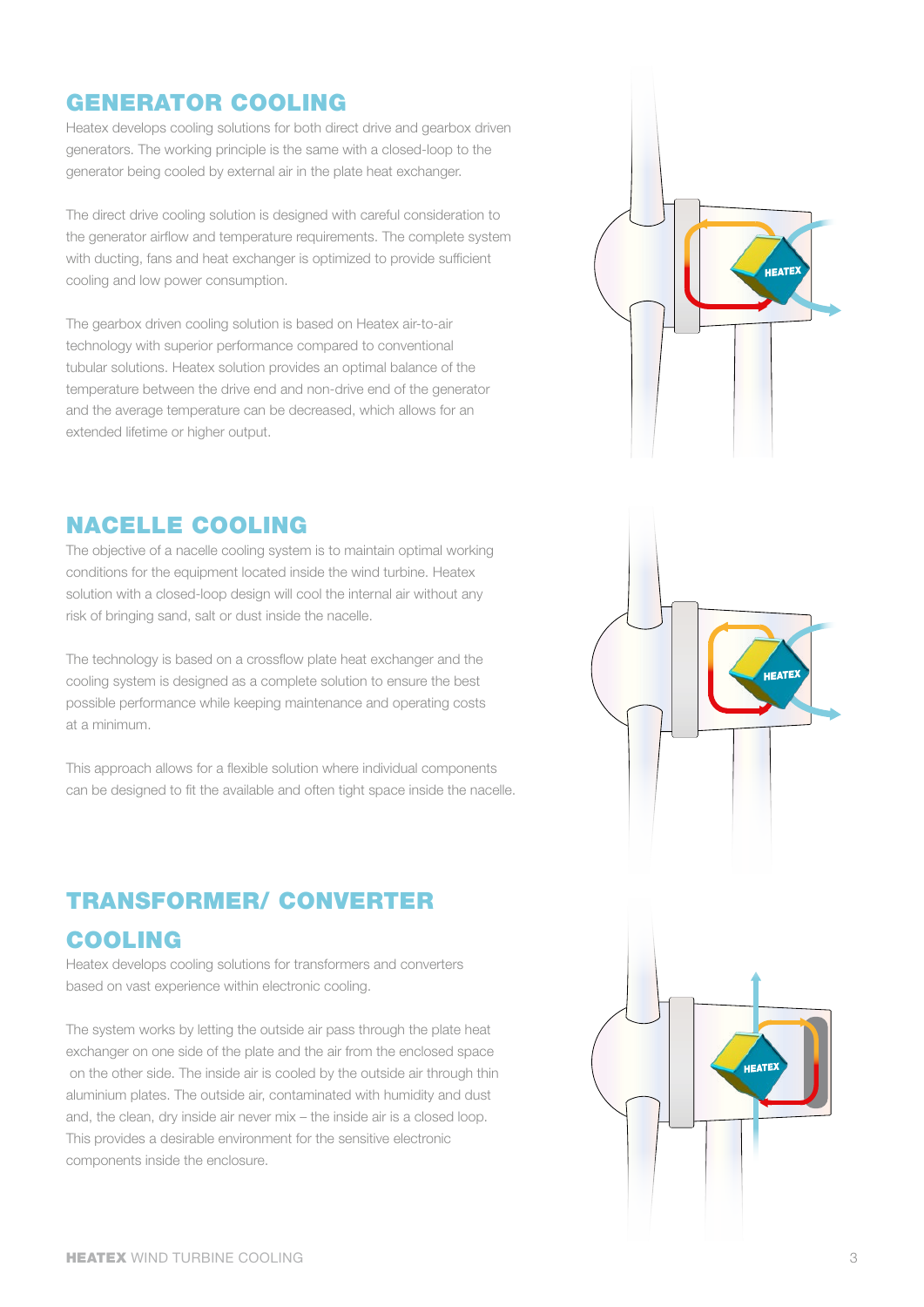#### GENERATOR COOLING

Heatex develops cooling solutions for both direct drive and gearbox driven generators. The working principle is the same with a closed-loop to the generator being cooled by external air in the plate heat exchanger.

The direct drive cooling solution is designed with careful consideration to the generator airflow and temperature requirements. The complete system with ducting, fans and heat exchanger is optimized to provide sufficient cooling and low power consumption.

The gearbox driven cooling solution is based on Heatex air-to-air technology with superior performance compared to conventional tubular solutions. Heatex solution provides an optimal balance of the temperature between the drive end and non-drive end of the generator and the average temperature can be decreased, which allows for an extended lifetime or higher output.

#### NACELLE COOLING

The objective of a nacelle cooling system is to maintain optimal working conditions for the equipment located inside the wind turbine. Heatex solution with a closed-loop design will cool the internal air without any risk of bringing sand, salt or dust inside the nacelle.

The technology is based on a crossflow plate heat exchanger and the cooling system is designed as a complete solution to ensure the best possible performance while keeping maintenance and operating costs at a minimum.

This approach allows for a flexible solution where individual components can be designed to fit the available and often tight space inside the nacelle.

#### TRANSFORMER/ CONVERTER

#### COOLING

Heatex develops cooling solutions for transformers and converters based on vast experience within electronic cooling.

The system works by letting the outside air pass through the plate heat exchanger on one side of the plate and the air from the enclosed space on the other side. The inside air is cooled by the outside air through thin aluminium plates. The outside air, contaminated with humidity and dust and, the clean, dry inside air never mix – the inside air is a closed loop. This provides a desirable environment for the sensitive electronic components inside the enclosure.





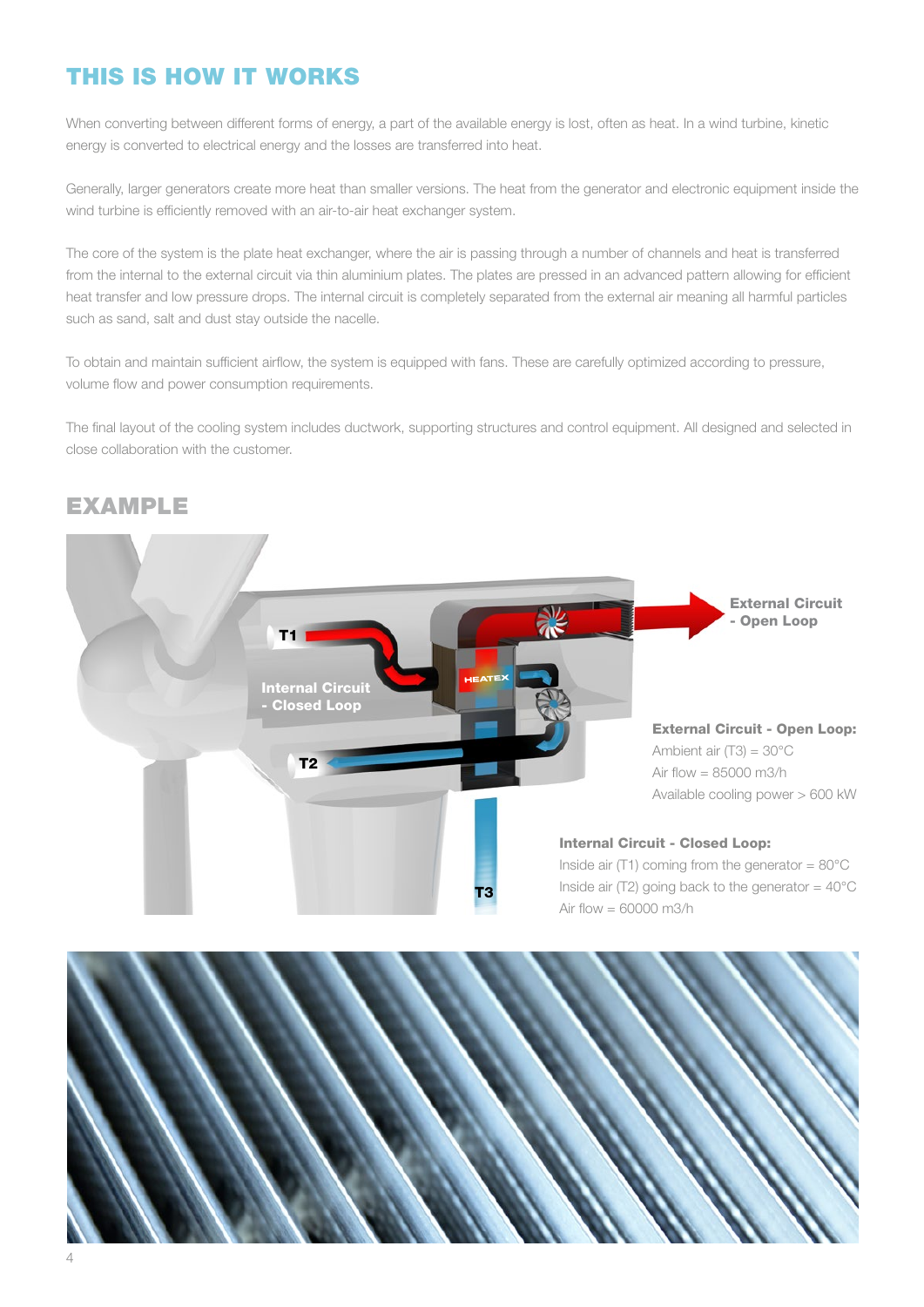## THIS IS HOW IT WORKS

When converting between different forms of energy, a part of the available energy is lost, often as heat. In a wind turbine, kinetic energy is converted to electrical energy and the losses are transferred into heat.

Generally, larger generators create more heat than smaller versions. The heat from the generator and electronic equipment inside the wind turbine is efficiently removed with an air-to-air heat exchanger system.

The core of the system is the plate heat exchanger, where the air is passing through a number of channels and heat is transferred from the internal to the external circuit via thin aluminium plates. The plates are pressed in an advanced pattern allowing for efficient heat transfer and low pressure drops. The internal circuit is completely separated from the external air meaning all harmful particles such as sand, salt and dust stay outside the nacelle.

To obtain and maintain sufficient airflow, the system is equipped with fans. These are carefully optimized according to pressure, volume flow and power consumption requirements.

The final layout of the cooling system includes ductwork, supporting structures and control equipment. All designed and selected in close collaboration with the customer.

#### EXAMPLE



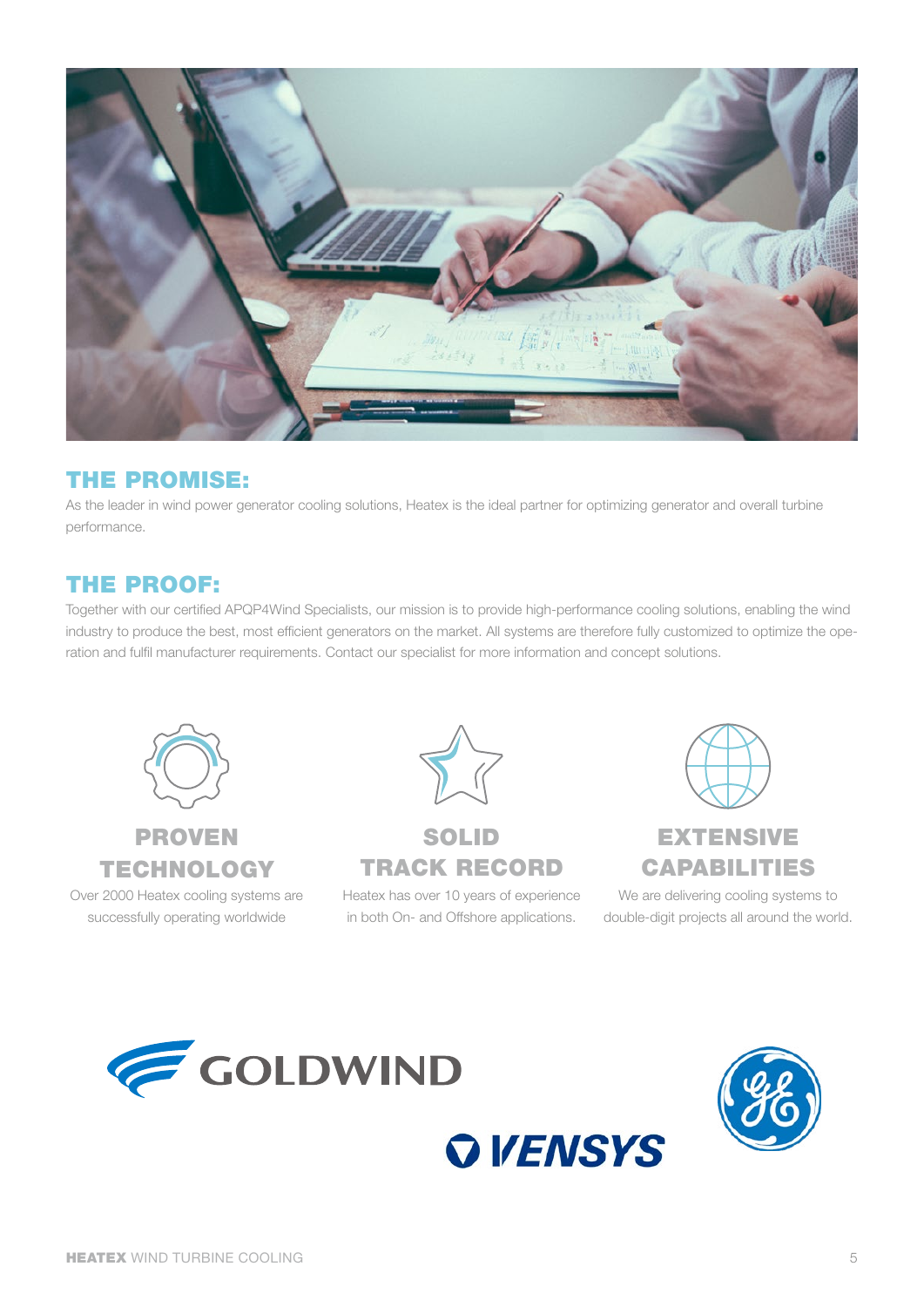

#### THE PROMISE:

As the leader in wind power generator cooling solutions, Heatex is the ideal partner for optimizing generator and overall turbine performance.

#### THE PROOF:

Together with our certified APQP4Wind Specialists, our mission is to provide high-performance cooling solutions, enabling the wind industry to produce the best, most efficient generators on the market. All systems are therefore fully customized to optimize the operation and fulfil manufacturer requirements. Contact our specialist for more information and concept solutions.



PROVEN TECHNOLOGY

Over 2000 Heatex cooling systems are successfully operating worldwide



## SOLID TRACK RECORD

Heatex has over 10 years of experience in both On- and Offshore applications.



We are delivering cooling systems to double-digit projects all around the world.